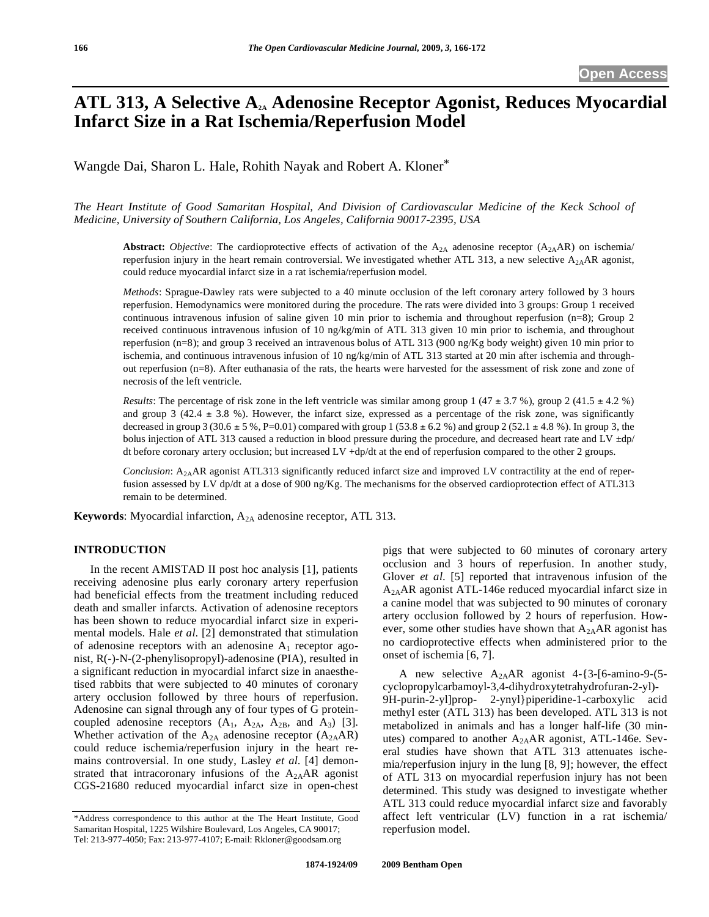# ATL 313, A Selective A<sub>2A</sub> Adenosine Receptor Agonist, Reduces Myocardial **Infarct Size in a Rat Ischemia/Reperfusion Model**

Wangde Dai, Sharon L. Hale, Rohith Nayak and Robert A. Kloner\*

*The Heart Institute of Good Samaritan Hospital, And Division of Cardiovascular Medicine of the Keck School of Medicine, University of Southern California, Los Angeles, California 90017-2395, USA* 

**Abstract:** *Objective*: The cardioprotective effects of activation of the  $A_{2A}$  adenosine receptor  $(A_{2A}AR)$  on ischemia/ reperfusion injury in the heart remain controversial. We investigated whether ATL 313, a new selective  $A_{2A}AR$  agonist, could reduce myocardial infarct size in a rat ischemia/reperfusion model.

*Methods*: Sprague-Dawley rats were subjected to a 40 minute occlusion of the left coronary artery followed by 3 hours reperfusion. Hemodynamics were monitored during the procedure. The rats were divided into 3 groups: Group 1 received continuous intravenous infusion of saline given 10 min prior to ischemia and throughout reperfusion (n=8); Group 2 received continuous intravenous infusion of 10 ng/kg/min of ATL 313 given 10 min prior to ischemia, and throughout reperfusion (n=8); and group 3 received an intravenous bolus of ATL 313 (900 ng/Kg body weight) given 10 min prior to ischemia, and continuous intravenous infusion of 10 ng/kg/min of ATL 313 started at 20 min after ischemia and throughout reperfusion (n=8). After euthanasia of the rats, the hearts were harvested for the assessment of risk zone and zone of necrosis of the left ventricle.

*Results*: The percentage of risk zone in the left ventricle was similar among group 1 (47  $\pm$  3.7 %), group 2 (41.5  $\pm$  4.2 %) and group  $3$  (42.4  $\pm$  3.8 %). However, the infarct size, expressed as a percentage of the risk zone, was significantly decreased in group 3 (30.6  $\pm$  5 %, P=0.01) compared with group 1 (53.8  $\pm$  6.2 %) and group 2 (52.1  $\pm$  4.8 %). In group 3, the bolus injection of ATL 313 caused a reduction in blood pressure during the procedure, and decreased heart rate and LV  $\pm dp$ / dt before coronary artery occlusion; but increased LV +dp/dt at the end of reperfusion compared to the other 2 groups.

*Conclusion*: A2AAR agonist ATL313 significantly reduced infarct size and improved LV contractility at the end of reperfusion assessed by LV dp/dt at a dose of 900 ng/Kg. The mechanisms for the observed cardioprotection effect of ATL313 remain to be determined.

**Keywords**: Myocardial infarction, A<sub>2A</sub> adenosine receptor, ATL 313.

# **INTRODUCTION**

 In the recent AMISTAD II post hoc analysis [1], patients receiving adenosine plus early coronary artery reperfusion had beneficial effects from the treatment including reduced death and smaller infarcts. Activation of adenosine receptors has been shown to reduce myocardial infarct size in experimental models. Hale *et al*. [2] demonstrated that stimulation of adenosine receptors with an adenosine  $A_1$  receptor agonist, R(-)-N-(2-phenylisopropyl)-adenosine (PIA), resulted in a significant reduction in myocardial infarct size in anaesthetised rabbits that were subjected to 40 minutes of coronary artery occlusion followed by three hours of reperfusion. Adenosine can signal through any of four types of G proteincoupled adenosine receptors  $(A_1, A_{2A}, A_{2B}, and A_3)$  [3]. Whether activation of the  $A_{2A}$  adenosine receptor  $(A_{2A}AR)$ could reduce ischemia/reperfusion injury in the heart remains controversial. In one study, Lasley *et al*. [4] demonstrated that intracoronary infusions of the  $A_{2A}AR$  agonist CGS-21680 reduced myocardial infarct size in open-chest pigs that were subjected to 60 minutes of coronary artery occlusion and 3 hours of reperfusion. In another study, Glover *et al*. [5] reported that intravenous infusion of the A2AAR agonist ATL-146e reduced myocardial infarct size in a canine model that was subjected to 90 minutes of coronary artery occlusion followed by 2 hours of reperfusion. However, some other studies have shown that  $A_{2A}AR$  agonist has no cardioprotective effects when administered prior to the onset of ischemia [6, 7].

A new selective  $A_{2A}AR$  agonist 4-{3-[6-amino-9-(5cyclopropylcarbamoyl-3,4-dihydroxytetrahydrofuran-2-yl)- 9H-purin-2-yl]prop- 2-ynyl}piperidine-1-carboxylic acid methyl ester (ATL 313) has been developed. ATL 313 is not metabolized in animals and has a longer half-life (30 minutes) compared to another A2AAR agonist, ATL-146e. Several studies have shown that ATL 313 attenuates ischemia/reperfusion injury in the lung [8, 9]; however, the effect of ATL 313 on myocardial reperfusion injury has not been determined. This study was designed to investigate whether ATL 313 could reduce myocardial infarct size and favorably affect left ventricular (LV) function in a rat ischemia/ reperfusion model.

<sup>\*</sup>Address correspondence to this author at the The Heart Institute, Good Samaritan Hospital, 1225 Wilshire Boulevard, Los Angeles, CA 90017; Tel: 213-977-4050; Fax: 213-977-4107; E-mail: Rkloner@goodsam.org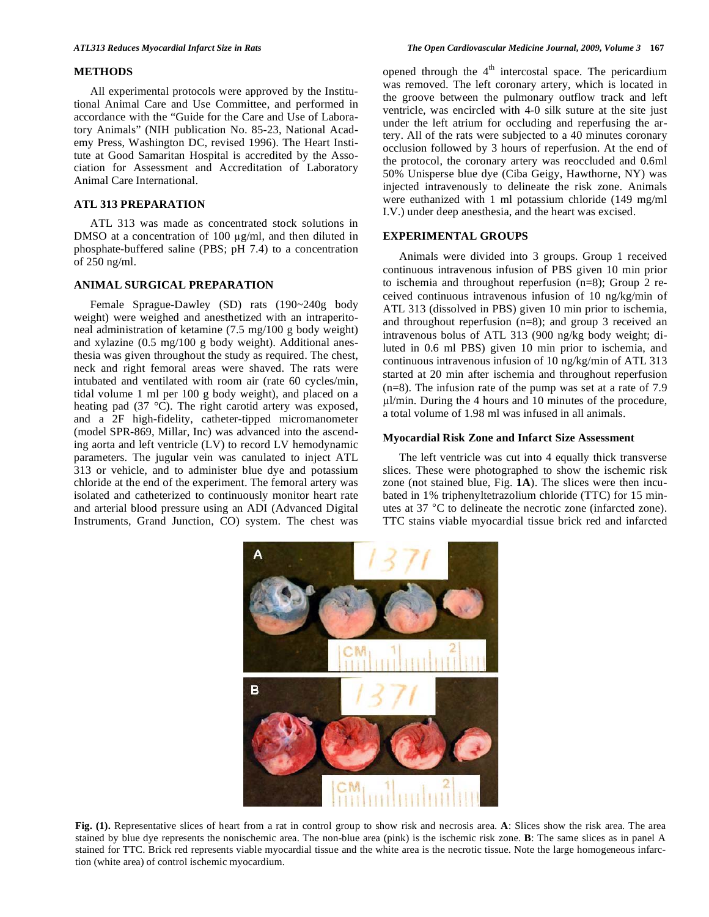# **METHODS**

 All experimental protocols were approved by the Institutional Animal Care and Use Committee, and performed in accordance with the "Guide for the Care and Use of Laboratory Animals" (NIH publication No. 85-23, National Academy Press, Washington DC, revised 1996). The Heart Institute at Good Samaritan Hospital is accredited by the Association for Assessment and Accreditation of Laboratory Animal Care International.

# **ATL 313 PREPARATION**

 ATL 313 was made as concentrated stock solutions in DMSO at a concentration of 100  $\mu$ g/ml, and then diluted in phosphate-buffered saline (PBS; pH 7.4) to a concentration of 250 ng/ml.

# **ANIMAL SURGICAL PREPARATION**

 Female Sprague-Dawley (SD) rats (190~240g body weight) were weighed and anesthetized with an intraperitoneal administration of ketamine (7.5 mg/100 g body weight) and xylazine (0.5 mg/100 g body weight). Additional anesthesia was given throughout the study as required. The chest, neck and right femoral areas were shaved. The rats were intubated and ventilated with room air (rate 60 cycles/min, tidal volume 1 ml per 100 g body weight), and placed on a heating pad (37 °C). The right carotid artery was exposed, and a 2F high-fidelity, catheter-tipped micromanometer (model SPR-869, Millar, Inc) was advanced into the ascending aorta and left ventricle (LV) to record LV hemodynamic parameters. The jugular vein was canulated to inject ATL 313 or vehicle, and to administer blue dye and potassium chloride at the end of the experiment. The femoral artery was isolated and catheterized to continuously monitor heart rate and arterial blood pressure using an ADI (Advanced Digital Instruments, Grand Junction, CO) system. The chest was opened through the  $4<sup>th</sup>$  intercostal space. The pericardium was removed. The left coronary artery, which is located in the groove between the pulmonary outflow track and left ventricle, was encircled with 4-0 silk suture at the site just under the left atrium for occluding and reperfusing the artery. All of the rats were subjected to a 40 minutes coronary occlusion followed by 3 hours of reperfusion. At the end of the protocol, the coronary artery was reoccluded and 0.6ml 50% Unisperse blue dye (Ciba Geigy, Hawthorne, NY) was injected intravenously to delineate the risk zone. Animals were euthanized with 1 ml potassium chloride (149 mg/ml I.V.) under deep anesthesia, and the heart was excised.

# **EXPERIMENTAL GROUPS**

 Animals were divided into 3 groups. Group 1 received continuous intravenous infusion of PBS given 10 min prior to ischemia and throughout reperfusion (n=8); Group 2 received continuous intravenous infusion of 10 ng/kg/min of ATL 313 (dissolved in PBS) given 10 min prior to ischemia, and throughout reperfusion (n=8); and group 3 received an intravenous bolus of ATL 313 (900 ng/kg body weight; diluted in 0.6 ml PBS) given 10 min prior to ischemia, and continuous intravenous infusion of 10 ng/kg/min of ATL 313 started at 20 min after ischemia and throughout reperfusion (n=8). The infusion rate of the pump was set at a rate of 7.9  $\mu$ l/min. During the 4 hours and 10 minutes of the procedure, a total volume of 1.98 ml was infused in all animals.

### **Myocardial Risk Zone and Infarct Size Assessment**

 The left ventricle was cut into 4 equally thick transverse slices. These were photographed to show the ischemic risk zone (not stained blue, Fig. **1A**). The slices were then incubated in 1% triphenyltetrazolium chloride (TTC) for 15 minutes at 37 °C to delineate the necrotic zone (infarcted zone). TTC stains viable myocardial tissue brick red and infarcted



**Fig. (1).** Representative slices of heart from a rat in control group to show risk and necrosis area. **A**: Slices show the risk area. The area stained by blue dye represents the nonischemic area. The non-blue area (pink) is the ischemic risk zone. **B**: The same slices as in panel A stained for TTC. Brick red represents viable myocardial tissue and the white area is the necrotic tissue. Note the large homogeneous infarction (white area) of control ischemic myocardium.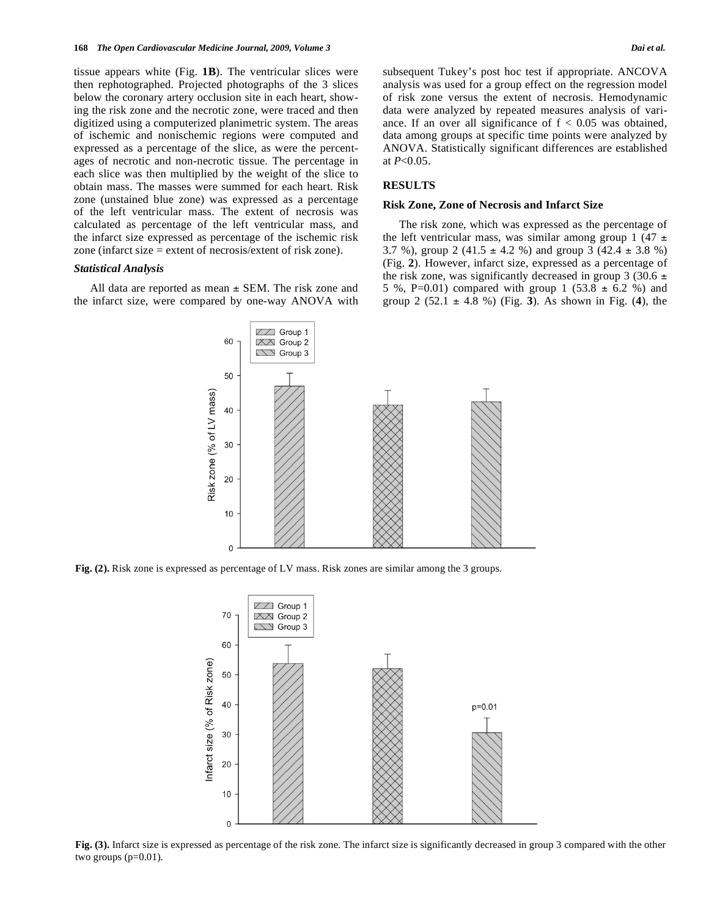tissue appears white (Fig. **1B**). The ventricular slices were then rephotographed. Projected photographs of the 3 slices below the coronary artery occlusion site in each heart, showing the risk zone and the necrotic zone, were traced and then digitized using a computerized planimetric system. The areas of ischemic and nonischemic regions were computed and expressed as a percentage of the slice, as were the percentages of necrotic and non-necrotic tissue. The percentage in each slice was then multiplied by the weight of the slice to obtain mass. The masses were summed for each heart. Risk zone (unstained blue zone) was expressed as a percentage of the left ventricular mass. The extent of necrosis was calculated as percentage of the left ventricular mass, and the infarct size expressed as percentage of the ischemic risk zone (infarct size = extent of necrosis/extent of risk zone).

#### *Statistical Analysis*

All data are reported as mean  $\pm$  SEM. The risk zone and the infarct size, were compared by one-way ANOVA with subsequent Tukey's post hoc test if appropriate. ANCOVA analysis was used for a group effect on the regression model of risk zone versus the extent of necrosis. Hemodynamic data were analyzed by repeated measures analysis of variance. If an over all significance of  $f < 0.05$  was obtained, data among groups at specific time points were analyzed by ANOVA. Statistically significant differences are established at *P*<0.05.

# **RESULTS**

# **Risk Zone, Zone of Necrosis and Infarct Size**

 The risk zone, which was expressed as the percentage of the left ventricular mass, was similar among group 1 (47  $\pm$ 3.7 %), group 2 (41.5  $\pm$  4.2 %) and group 3 (42.4  $\pm$  3.8 %) (Fig. **2**). However, infarct size, expressed as a percentage of the risk zone, was significantly decreased in group 3 (30.6  $\pm$ 5 %, P=0.01) compared with group 1 (53.8  $\pm$  6.2 %) and group 2 (52.1 ± 4.8 %) (Fig. **3**). As shown in Fig. (**4**), the



**Fig. (2).** Risk zone is expressed as percentage of LV mass. Risk zones are similar among the 3 groups.



**Fig. (3).** Infarct size is expressed as percentage of the risk zone. The infarct size is significantly decreased in group 3 compared with the other two groups (p=0.01).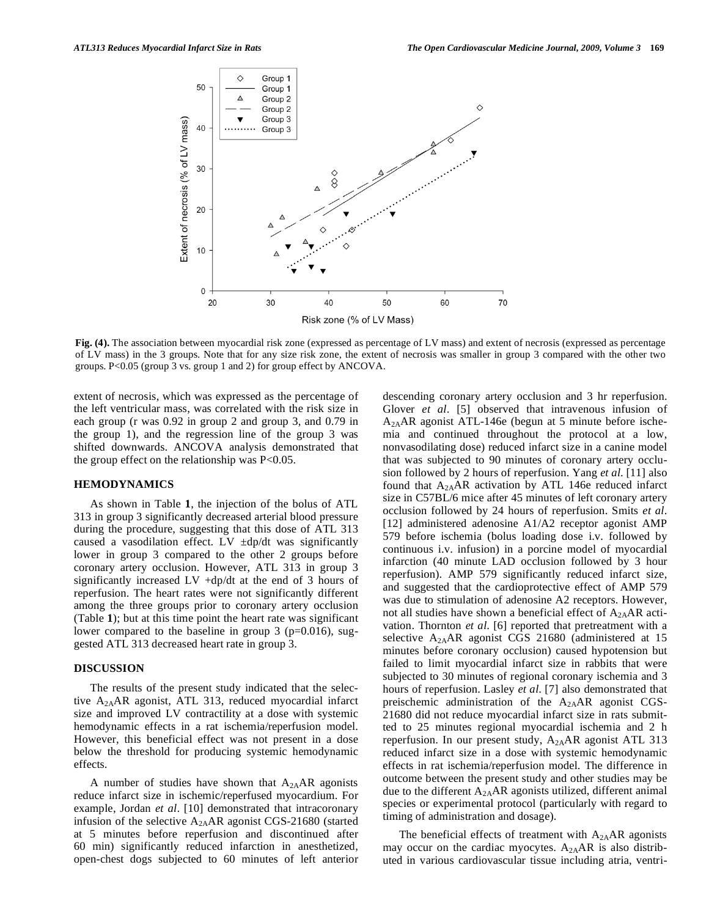

**Fig. (4).** The association between myocardial risk zone (expressed as percentage of LV mass) and extent of necrosis (expressed as percentage of LV mass) in the 3 groups. Note that for any size risk zone, the extent of necrosis was smaller in group 3 compared with the other two groups. P<0.05 (group 3 vs. group 1 and 2) for group effect by ANCOVA.

extent of necrosis, which was expressed as the percentage of the left ventricular mass, was correlated with the risk size in each group (r was 0.92 in group 2 and group 3, and 0.79 in the group 1), and the regression line of the group 3 was shifted downwards. ANCOVA analysis demonstrated that the group effect on the relationship was  $P<0.05$ .

# **HEMODYNAMICS**

 As shown in Table **1**, the injection of the bolus of ATL 313 in group 3 significantly decreased arterial blood pressure during the procedure, suggesting that this dose of ATL 313 caused a vasodilation effect. LV  $\pm dp/dt$  was significantly lower in group 3 compared to the other 2 groups before coronary artery occlusion. However, ATL 313 in group 3 significantly increased LV +dp/dt at the end of 3 hours of reperfusion. The heart rates were not significantly different among the three groups prior to coronary artery occlusion (Table **1**); but at this time point the heart rate was significant lower compared to the baseline in group  $3$  (p=0.016), suggested ATL 313 decreased heart rate in group 3.

# **DISCUSSION**

 The results of the present study indicated that the selective A2AAR agonist, ATL 313, reduced myocardial infarct size and improved LV contractility at a dose with systemic hemodynamic effects in a rat ischemia/reperfusion model. However, this beneficial effect was not present in a dose below the threshold for producing systemic hemodynamic effects.

A number of studies have shown that  $A_{2A}AR$  agonists reduce infarct size in ischemic/reperfused myocardium. For example, Jordan *et al*. [10] demonstrated that intracoronary infusion of the selective A2AAR agonist CGS-21680 (started at 5 minutes before reperfusion and discontinued after 60 min) significantly reduced infarction in anesthetized, open-chest dogs subjected to 60 minutes of left anterior descending coronary artery occlusion and 3 hr reperfusion. Glover *et al*. [5] observed that intravenous infusion of  $A_{2A}AR$  agonist ATL-146e (begun at 5 minute before ischemia and continued throughout the protocol at a low, nonvasodilating dose) reduced infarct size in a canine model that was subjected to 90 minutes of coronary artery occlusion followed by 2 hours of reperfusion. Yang *et al*. [11] also found that  $A_{2A}AR$  activation by ATL 146e reduced infarct size in C57BL/6 mice after 45 minutes of left coronary artery occlusion followed by 24 hours of reperfusion. Smits *et al*. [12] administered adenosine A1/A2 receptor agonist AMP 579 before ischemia (bolus loading dose i.v. followed by continuous i.v. infusion) in a porcine model of myocardial infarction (40 minute LAD occlusion followed by 3 hour reperfusion). AMP 579 significantly reduced infarct size, and suggested that the cardioprotective effect of AMP 579 was due to stimulation of adenosine A2 receptors. However, not all studies have shown a beneficial effect of  $A_{2A}AR$  activation. Thornton *et al*. [6] reported that pretreatment with a selective  $A_{2A}AR$  agonist CGS 21680 (administered at 15 minutes before coronary occlusion) caused hypotension but failed to limit myocardial infarct size in rabbits that were subjected to 30 minutes of regional coronary ischemia and 3 hours of reperfusion. Lasley *et al*. [7] also demonstrated that preischemic administration of the  $A_{2A}AR$  agonist CGS-21680 did not reduce myocardial infarct size in rats submitted to 25 minutes regional myocardial ischemia and 2 h reperfusion. In our present study,  $A_{2A}AR$  agonist ATL 313 reduced infarct size in a dose with systemic hemodynamic effects in rat ischemia/reperfusion model. The difference in outcome between the present study and other studies may be due to the different  $A_{2A}AR$  agonists utilized, different animal species or experimental protocol (particularly with regard to timing of administration and dosage).

The beneficial effects of treatment with  $A_{2A}AR$  agonists may occur on the cardiac myocytes.  $A_{2A}AR$  is also distributed in various cardiovascular tissue including atria, ventri-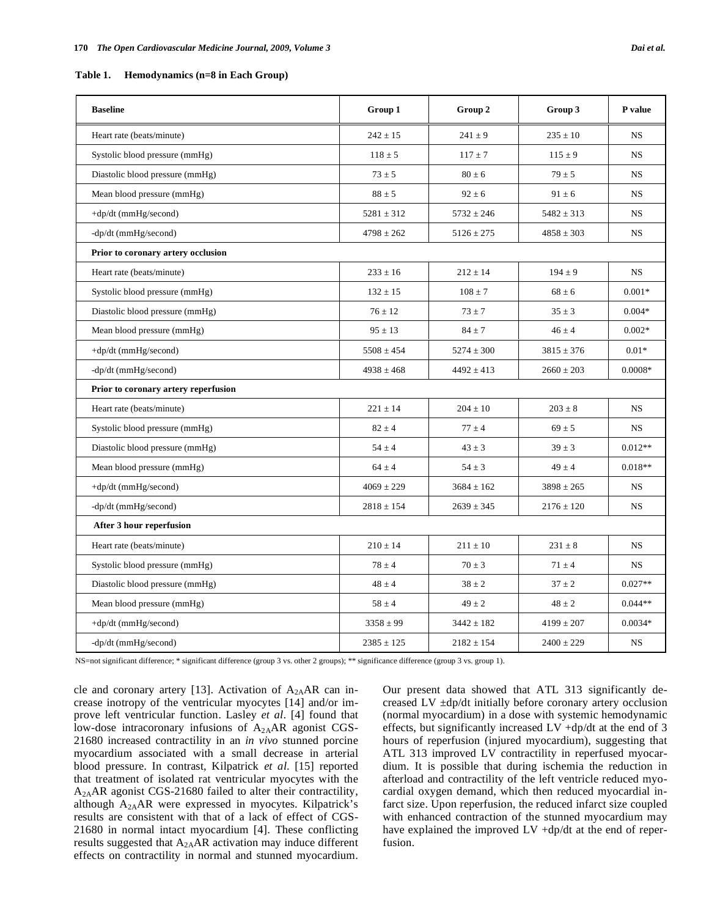| Table 1. | Hemodynamics (n=8 in Each Group) |  |
|----------|----------------------------------|--|
|----------|----------------------------------|--|

| <b>Baseline</b>                      | Group 1        | Group 2        | Group 3        | P value   |
|--------------------------------------|----------------|----------------|----------------|-----------|
| Heart rate (beats/minute)            | $242 \pm 15$   | $241 \pm 9$    | $235 \pm 10$   | <b>NS</b> |
| Systolic blood pressure (mmHg)       | $118 \pm 5$    | $117 \pm 7$    | $115 \pm 9$    | <b>NS</b> |
| Diastolic blood pressure (mmHg)      | $73 \pm 5$     | $80 \pm 6$     | $79 \pm 5$     | NS        |
| Mean blood pressure (mmHg)           | $88 \pm 5$     | $92 \pm 6$     | $91 \pm 6$     | <b>NS</b> |
| +dp/dt (mmHg/second)                 | $5281 \pm 312$ | $5732 \pm 246$ | $5482 \pm 313$ | <b>NS</b> |
| -dp/dt (mmHg/second)                 | $4798 \pm 262$ | $5126 \pm 275$ | $4858 \pm 303$ | <b>NS</b> |
| Prior to coronary artery occlusion   |                |                |                |           |
| Heart rate (beats/minute)            | $233 \pm 16$   | $212 \pm 14$   | $194 \pm 9$    | <b>NS</b> |
| Systolic blood pressure (mmHg)       | $132 \pm 15$   | $108 \pm 7$    | $68 \pm 6$     | $0.001*$  |
| Diastolic blood pressure (mmHg)      | $76 \pm 12$    | $73 \pm 7$     | $35 \pm 3$     | $0.004*$  |
| Mean blood pressure (mmHg)           | $95 \pm 13$    | $84 \pm 7$     | $46 \pm 4$     | $0.002*$  |
| +dp/dt (mmHg/second)                 | $5508 \pm 454$ | $5274 \pm 300$ | $3815 \pm 376$ | $0.01*$   |
| -dp/dt (mmHg/second)                 | $4938 \pm 468$ | $4492 \pm 413$ | $2660 \pm 203$ | $0.0008*$ |
| Prior to coronary artery reperfusion |                |                |                |           |
| Heart rate (beats/minute)            | $221 \pm 14$   | $204 \pm 10$   | $203 \pm 8$    | <b>NS</b> |
| Systolic blood pressure (mmHg)       | $82 \pm 4$     | $77 \pm 4$     | $69 \pm 5$     | <b>NS</b> |
| Diastolic blood pressure (mmHg)      | $54 \pm 4$     | $43 \pm 3$     | $39 \pm 3$     | $0.012**$ |
| Mean blood pressure (mmHg)           | $64 \pm 4$     | $54 \pm 3$     | $49 \pm 4$     | $0.018**$ |
| +dp/dt (mmHg/second)                 | $4069 \pm 229$ | $3684 \pm 162$ | $3898 \pm 265$ | <b>NS</b> |
| -dp/dt (mmHg/second)                 | $2818 \pm 154$ | $2639 \pm 345$ | $2176 \pm 120$ | <b>NS</b> |
| After 3 hour reperfusion             |                |                |                |           |
| Heart rate (beats/minute)            | $210 \pm 14$   | $211 \pm 10$   | $231 \pm 8$    | <b>NS</b> |
| Systolic blood pressure (mmHg)       | $78 \pm 4$     | $70 \pm 3$     | $71 \pm 4$     | NS        |
| Diastolic blood pressure (mmHg)      | $48 \pm 4$     | $38 \pm 2$     | $37 \pm 2$     | $0.027**$ |
| Mean blood pressure (mmHg)           | $58 \pm 4$     | $49 \pm 2$     | $48 \pm 2$     | $0.044**$ |
| +dp/dt (mmHg/second)                 | $3358 \pm 99$  | $3442 \pm 182$ | $4199 \pm 207$ | $0.0034*$ |
| -dp/dt (mmHg/second)                 | $2385 \pm 125$ | $2182 \pm 154$ | $2400 \pm 229$ | <b>NS</b> |

NS=not significant difference; \* significant difference (group 3 vs. other 2 groups); \*\* significance difference (group 3 vs. group 1).

cle and coronary artery [13]. Activation of  $A_{2A}AR$  can increase inotropy of the ventricular myocytes [14] and/or improve left ventricular function. Lasley *et al*. [4] found that low-dose intracoronary infusions of  $A_{2A}AR$  agonist CGS-21680 increased contractility in an *in vivo* stunned porcine myocardium associated with a small decrease in arterial blood pressure. In contrast, Kilpatrick *et al*. [15] reported that treatment of isolated rat ventricular myocytes with the A2AAR agonist CGS-21680 failed to alter their contractility, although A2AAR were expressed in myocytes. Kilpatrick's results are consistent with that of a lack of effect of CGS-21680 in normal intact myocardium [4]. These conflicting results suggested that  $A_{2A}AR$  activation may induce different effects on contractility in normal and stunned myocardium. Our present data showed that ATL 313 significantly decreased LV ±dp/dt initially before coronary artery occlusion (normal myocardium) in a dose with systemic hemodynamic effects, but significantly increased LV +dp/dt at the end of 3 hours of reperfusion (injured myocardium), suggesting that ATL 313 improved LV contractility in reperfused myocardium. It is possible that during ischemia the reduction in afterload and contractility of the left ventricle reduced myocardial oxygen demand, which then reduced myocardial infarct size. Upon reperfusion, the reduced infarct size coupled with enhanced contraction of the stunned myocardium may have explained the improved LV +dp/dt at the end of reperfusion.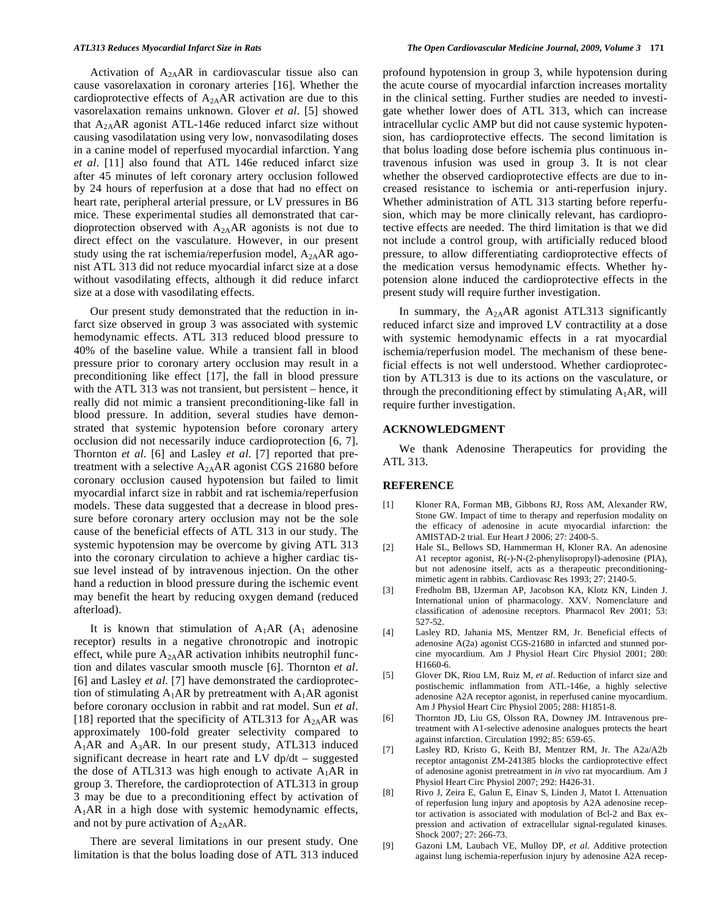Activation of  $A_{2A}AR$  in cardiovascular tissue also can cause vasorelaxation in coronary arteries [16]. Whether the cardioprotective effects of  $A_{2A}AR$  activation are due to this vasorelaxation remains unknown. Glover *et al*. [5] showed that  $A_{2A}AR$  agonist ATL-146e reduced infarct size without causing vasodilatation using very low, nonvasodilating doses in a canine model of reperfused myocardial infarction. Yang *et al*. [11] also found that ATL 146e reduced infarct size after 45 minutes of left coronary artery occlusion followed by 24 hours of reperfusion at a dose that had no effect on heart rate, peripheral arterial pressure, or LV pressures in B6 mice. These experimental studies all demonstrated that cardioprotection observed with A2AAR agonists is not due to direct effect on the vasculature. However, in our present study using the rat ischemia/reperfusion model,  $A_{2A}AR$  agonist ATL 313 did not reduce myocardial infarct size at a dose without vasodilating effects, although it did reduce infarct size at a dose with vasodilating effects.

 Our present study demonstrated that the reduction in infarct size observed in group 3 was associated with systemic hemodynamic effects. ATL 313 reduced blood pressure to 40% of the baseline value. While a transient fall in blood pressure prior to coronary artery occlusion may result in a preconditioning like effect [17], the fall in blood pressure with the ATL 313 was not transient, but persistent – hence, it really did not mimic a transient preconditioning-like fall in blood pressure. In addition, several studies have demonstrated that systemic hypotension before coronary artery occlusion did not necessarily induce cardioprotection [6, 7]. Thornton *et al*. [6] and Lasley *et al*. [7] reported that pretreatment with a selective  $A_{2A}AR$  agonist CGS 21680 before coronary occlusion caused hypotension but failed to limit myocardial infarct size in rabbit and rat ischemia/reperfusion models. These data suggested that a decrease in blood pressure before coronary artery occlusion may not be the sole cause of the beneficial effects of ATL 313 in our study. The systemic hypotension may be overcome by giving ATL 313 into the coronary circulation to achieve a higher cardiac tissue level instead of by intravenous injection. On the other hand a reduction in blood pressure during the ischemic event may benefit the heart by reducing oxygen demand (reduced afterload).

It is known that stimulation of  $A_1AR$  ( $A_1$  adenosine receptor) results in a negative chronotropic and inotropic effect, while pure A2AAR activation inhibits neutrophil function and dilates vascular smooth muscle [6]. Thornton *et al*. [6] and Lasley *et al*. [7] have demonstrated the cardioprotection of stimulating  $A_1AR$  by pretreatment with  $A_1AR$  agonist before coronary occlusion in rabbit and rat model. Sun *et al*. [18] reported that the specificity of ATL313 for  $A_{2A}AR$  was approximately 100-fold greater selectivity compared to  $A_1AR$  and  $A_3AR$ . In our present study, ATL313 induced significant decrease in heart rate and LV dp/dt – suggested the dose of ATL313 was high enough to activate  $A_1AR$  in group 3. Therefore, the cardioprotection of ATL313 in group 3 may be due to a preconditioning effect by activation of  $A_1AR$  in a high dose with systemic hemodynamic effects, and not by pure activation of  $A_{2A}AR$ .

 There are several limitations in our present study. One limitation is that the bolus loading dose of ATL 313 induced profound hypotension in group 3, while hypotension during the acute course of myocardial infarction increases mortality in the clinical setting. Further studies are needed to investigate whether lower does of ATL 313, which can increase intracellular cyclic AMP but did not cause systemic hypotension, has cardioprotective effects. The second limitation is that bolus loading dose before ischemia plus continuous intravenous infusion was used in group 3. It is not clear whether the observed cardioprotective effects are due to increased resistance to ischemia or anti-reperfusion injury. Whether administration of ATL 313 starting before reperfusion, which may be more clinically relevant, has cardioprotective effects are needed. The third limitation is that we did not include a control group, with artificially reduced blood pressure, to allow differentiating cardioprotective effects of the medication versus hemodynamic effects. Whether hypotension alone induced the cardioprotective effects in the present study will require further investigation.

In summary, the  $A_{2A}AR$  agonist ATL313 significantly reduced infarct size and improved LV contractility at a dose with systemic hemodynamic effects in a rat myocardial ischemia/reperfusion model. The mechanism of these beneficial effects is not well understood. Whether cardioprotection by ATL313 is due to its actions on the vasculature, or through the preconditioning effect by stimulating  $A_1AR$ , will require further investigation.

# **ACKNOWLEDGMENT**

 We thank Adenosine Therapeutics for providing the ATL 313.

# **REFERENCE**

- [1] Kloner RA, Forman MB, Gibbons RJ, Ross AM, Alexander RW, Stone GW. Impact of time to therapy and reperfusion modality on the efficacy of adenosine in acute myocardial infarction: the AMISTAD-2 trial. Eur Heart J 2006; 27: 2400-5.
- [2] Hale SL, Bellows SD, Hammerman H, Kloner RA. An adenosine A1 receptor agonist, R(-)-N-(2-phenylisopropyl)-adenosine (PIA), but not adenosine itself, acts as a therapeutic preconditioningmimetic agent in rabbits. Cardiovasc Res 1993; 27: 2140-5.
- [3] Fredholm BB, IJzerman AP, Jacobson KA, Klotz KN, Linden J. International union of pharmacology. XXV. Nomenclature and classification of adenosine receptors. Pharmacol Rev 2001; 53: 527-52.
- [4] Lasley RD, Jahania MS, Mentzer RM, Jr. Beneficial effects of adenosine A(2a) agonist CGS-21680 in infarcted and stunned porcine myocardium. Am J Physiol Heart Circ Physiol 2001; 280: H1660-6.
- [5] Glover DK, Riou LM, Ruiz M, *et al*. Reduction of infarct size and postischemic inflammation from ATL-146e, a highly selective adenosine A2A receptor agonist, in reperfused canine myocardium. Am J Physiol Heart Circ Physiol 2005; 288: H1851-8.
- [6] Thornton JD, Liu GS, Olsson RA, Downey JM. Intravenous pretreatment with A1-selective adenosine analogues protects the heart against infarction. Circulation 1992; 85: 659-65.
- [7] Lasley RD, Kristo G, Keith BJ, Mentzer RM, Jr. The A2a/A2b receptor antagonist ZM-241385 blocks the cardioprotective effect of adenosine agonist pretreatment in *in vivo* rat myocardium. Am J Physiol Heart Circ Physiol 2007; 292: H426-31.
- [8] Rivo J, Zeira E, Galun E, Einav S, Linden J, Matot I. Attenuation of reperfusion lung injury and apoptosis by A2A adenosine receptor activation is associated with modulation of Bcl-2 and Bax expression and activation of extracellular signal-regulated kinases. Shock 2007; 27: 266-73.
- [9] Gazoni LM, Laubach VE, Mulloy DP, *et al*. Additive protection against lung ischemia-reperfusion injury by adenosine A2A recep-